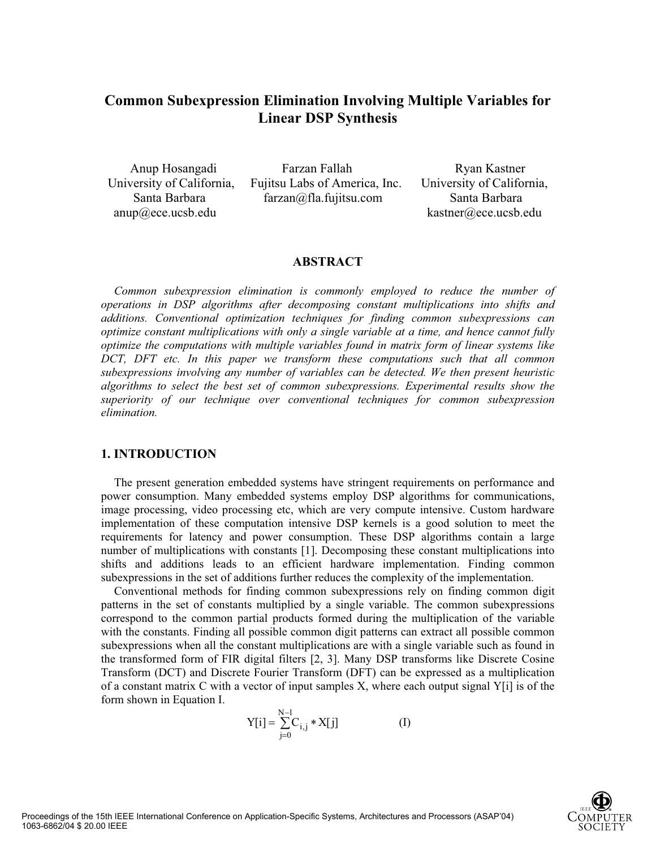# **Common Subexpression Elimination Involving Multiple Variables for Linear DSP Synthesis**

anup@ece.ucsb.edu kastner@ece.ucsb.edu

Anup Hosangadi Farzan Fallah Ryan Kastner University of California, Fujitsu Labs of America, Inc. University of California, Santa Barbara **farzan@fla.fujitsu.com** Santa Barbara

### **ABSTRACT**

*Common subexpression elimination is commonly employed to reduce the number of operations in DSP algorithms after decomposing constant multiplications into shifts and additions. Conventional optimization techniques for finding common subexpressions can optimize constant multiplications with only a single variable at a time, and hence cannot fully optimize the computations with multiple variables found in matrix form of linear systems like DCT, DFT etc. In this paper we transform these computations such that all common subexpressions involving any number of variables can be detected. We then present heuristic algorithms to select the best set of common subexpressions. Experimental results show the superiority of our technique over conventional techniques for common subexpression elimination.*

## **1. INTRODUCTION**

The present generation embedded systems have stringent requirements on performance and power consumption. Many embedded systems employ DSP algorithms for communications, image processing, video processing etc, which are very compute intensive. Custom hardware implementation of these computation intensive DSP kernels is a good solution to meet the requirements for latency and power consumption. These DSP algorithms contain a large number of multiplications with constants [1]. Decomposing these constant multiplications into shifts and additions leads to an efficient hardware implementation. Finding common subexpressions in the set of additions further reduces the complexity of the implementation.

 Conventional methods for finding common subexpressions rely on finding common digit patterns in the set of constants multiplied by a single variable. The common subexpressions correspond to the common partial products formed during the multiplication of the variable with the constants. Finding all possible common digit patterns can extract all possible common subexpressions when all the constant multiplications are with a single variable such as found in the transformed form of FIR digital filters [2, 3]. Many DSP transforms like Discrete Cosine Transform (DCT) and Discrete Fourier Transform (DFT) can be expressed as a multiplication of a constant matrix C with a vector of input samples X, where each output signal Y[i] is of the form shown in Equation I.

$$
Y[i] = \sum_{j=0}^{N-1} C_{i,j} * X[j]
$$
 (I)

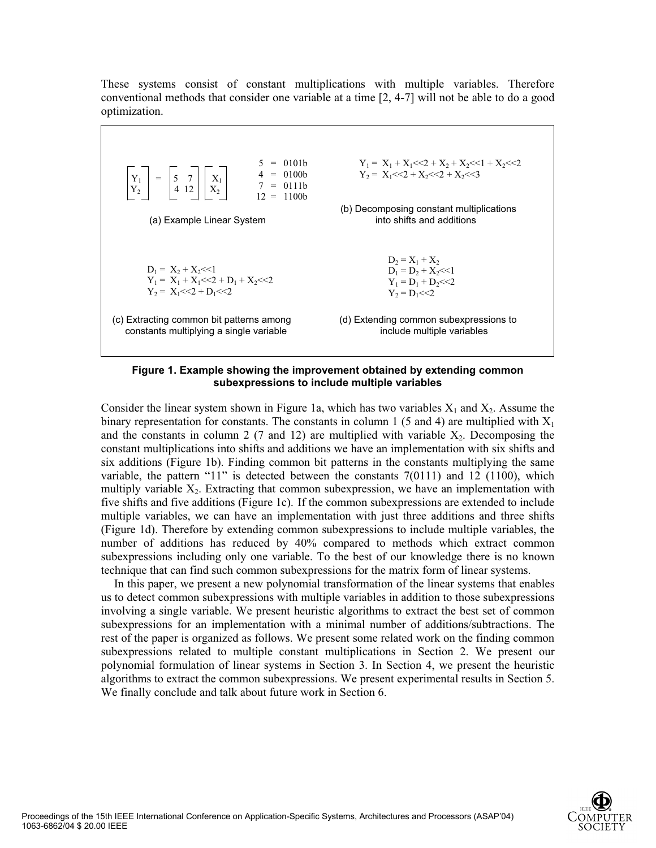These systems consist of constant multiplications with multiple variables. Therefore conventional methods that consider one variable at a time [2, 4-7] will not be able to do a good optimization.



#### **Figure 1. Example showing the improvement obtained by extending common subexpressions to include multiple variables**

Consider the linear system shown in Figure 1a, which has two variables  $X_1$  and  $X_2$ . Assume the binary representation for constants. The constants in column 1 (5 and 4) are multiplied with  $X_1$ and the constants in column 2 (7 and 12) are multiplied with variable  $X_2$ . Decomposing the constant multiplications into shifts and additions we have an implementation with six shifts and six additions (Figure 1b). Finding common bit patterns in the constants multiplying the same variable, the pattern "11" is detected between the constants  $7(0111)$  and 12 (1100), which multiply variable  $X_2$ . Extracting that common subexpression, we have an implementation with five shifts and five additions (Figure 1c). If the common subexpressions are extended to include multiple variables, we can have an implementation with just three additions and three shifts (Figure 1d). Therefore by extending common subexpressions to include multiple variables, the number of additions has reduced by 40% compared to methods which extract common subexpressions including only one variable. To the best of our knowledge there is no known technique that can find such common subexpressions for the matrix form of linear systems.

 In this paper, we present a new polynomial transformation of the linear systems that enables us to detect common subexpressions with multiple variables in addition to those subexpressions involving a single variable. We present heuristic algorithms to extract the best set of common subexpressions for an implementation with a minimal number of additions/subtractions. The rest of the paper is organized as follows. We present some related work on the finding common subexpressions related to multiple constant multiplications in Section 2. We present our polynomial formulation of linear systems in Section 3. In Section 4, we present the heuristic algorithms to extract the common subexpressions. We present experimental results in Section 5. We finally conclude and talk about future work in Section 6.

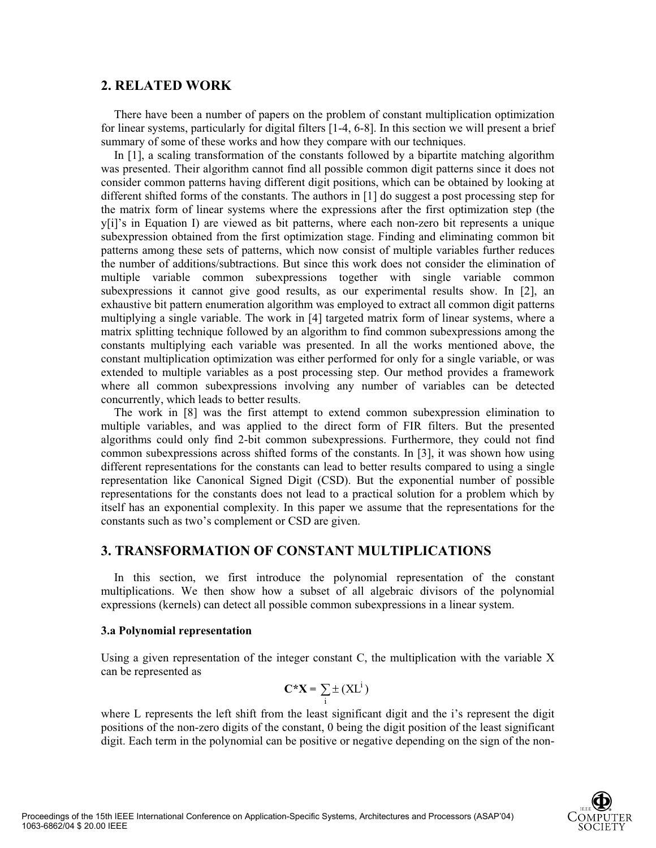## **2. RELATED WORK**

There have been a number of papers on the problem of constant multiplication optimization for linear systems, particularly for digital filters [1-4, 6-8]. In this section we will present a brief summary of some of these works and how they compare with our techniques.

 In [1], a scaling transformation of the constants followed by a bipartite matching algorithm was presented. Their algorithm cannot find all possible common digit patterns since it does not consider common patterns having different digit positions, which can be obtained by looking at different shifted forms of the constants. The authors in [1] do suggest a post processing step for the matrix form of linear systems where the expressions after the first optimization step (the y[i]'s in Equation I) are viewed as bit patterns, where each non-zero bit represents a unique subexpression obtained from the first optimization stage. Finding and eliminating common bit patterns among these sets of patterns, which now consist of multiple variables further reduces the number of additions/subtractions. But since this work does not consider the elimination of multiple variable common subexpressions together with single variable common subexpressions it cannot give good results, as our experimental results show. In [2], an exhaustive bit pattern enumeration algorithm was employed to extract all common digit patterns multiplying a single variable. The work in [4] targeted matrix form of linear systems, where a matrix splitting technique followed by an algorithm to find common subexpressions among the constants multiplying each variable was presented. In all the works mentioned above, the constant multiplication optimization was either performed for only for a single variable, or was extended to multiple variables as a post processing step. Our method provides a framework where all common subexpressions involving any number of variables can be detected concurrently, which leads to better results.

 The work in [8] was the first attempt to extend common subexpression elimination to multiple variables, and was applied to the direct form of FIR filters. But the presented algorithms could only find 2-bit common subexpressions. Furthermore, they could not find common subexpressions across shifted forms of the constants. In [3], it was shown how using different representations for the constants can lead to better results compared to using a single representation like Canonical Signed Digit (CSD). But the exponential number of possible representations for the constants does not lead to a practical solution for a problem which by itself has an exponential complexity. In this paper we assume that the representations for the constants such as two's complement or CSD are given.

### **3. TRANSFORMATION OF CONSTANT MULTIPLICATIONS**

In this section, we first introduce the polynomial representation of the constant multiplications. We then show how a subset of all algebraic divisors of the polynomial expressions (kernels) can detect all possible common subexpressions in a linear system.

#### **3.a Polynomial representation**

Using a given representation of the integer constant C, the multiplication with the variable X can be represented as

$$
\mathbf{C}^* \mathbf{X} = \sum_i \pm (\mathbf{X} \mathbf{L}^i)
$$

where L represents the left shift from the least significant digit and the i's represent the digit positions of the non-zero digits of the constant, 0 being the digit position of the least significant digit. Each term in the polynomial can be positive or negative depending on the sign of the non-

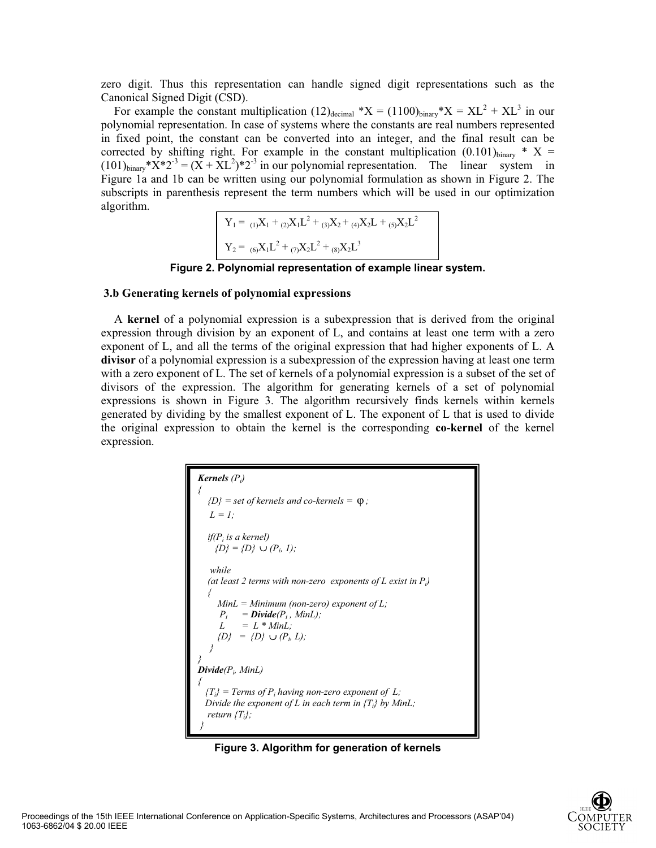zero digit. Thus this representation can handle signed digit representations such as the Canonical Signed Digit (CSD).

For example the constant multiplication  $(12)_{\text{decimal}}$  \*X =  $(1100)_{\text{binary}}$ \*X =  $XL^2 + XL^3$  in our polynomial representation. In case of systems where the constants are real numbers represented in fixed point, the constant can be converted into an integer, and the final result can be corrected by shifting right. For example in the constant multiplication  $(0.101)_{\text{binary}} * X =$  $(101)_{\text{binary}}$ \* $X$ \*2<sup>-3</sup> =  $(X + XL^2)$ \*2<sup>-3</sup> in our polynomial representation. The linear system in Figure 1a and 1b can be written using our polynomial formulation as shown in Figure 2. The subscripts in parenthesis represent the term numbers which will be used in our optimization algorithm.

$$
\begin{array}{|l|l|} \hline Y_1 &= {}_{(1)}X_1 + {}_{(2)}X_1L^2 + {}_{(3)}X_2 + {}_{(4)}X_2L + {}_{(5)}X_2L^2 \\ \hline Y_2 &= {}_{(6)}X_1L^2 + {}_{(7)}X_2L^2 + {}_{(8)}X_2L^3 \hline \end{array}
$$

**Figure 2. Polynomial representation of example linear system.** 

#### **3.b Generating kernels of polynomial expressions**

A **kernel** of a polynomial expression is a subexpression that is derived from the original expression through division by an exponent of L, and contains at least one term with a zero exponent of L, and all the terms of the original expression that had higher exponents of L. A **divisor** of a polynomial expression is a subexpression of the expression having at least one term with a zero exponent of L. The set of kernels of a polynomial expression is a subset of the set of divisors of the expression. The algorithm for generating kernels of a set of polynomial expressions is shown in Figure 3. The algorithm recursively finds kernels within kernels generated by dividing by the smallest exponent of L. The exponent of L that is used to divide the original expression to obtain the kernel is the corresponding **co-kernel** of the kernel expression.

> *Kernels (Pi) {*  $\{D\}$  = set of kernels and co-kernels =  $\varphi$ ;  $L = 1$ :  *if(Pi is a kernel)*   $\{D\} = \{D\} \cup (P_i, 1);$  *while (at least 2 terms with non-zero exponents of L exist in Pi) { MinL = Minimum (non-zero) exponent of L;*   $P_i$  = *Divide*( $P_i$ , MinL);<br>  $L$  =  $L$  \* MinL:  $= L * MinL$  $\{D\} = \{D\} \cup (P_i, L);$  *} } Divide(Pi, MinL) {*  $\{T_i\}$  = Terms of P<sub>i</sub> having non-zero exponent of L;  *Divide the exponent of L in each term in {Ti} by MinL; return {Ti}; }*

**Figure 3. Algorithm for generation of kernels** 

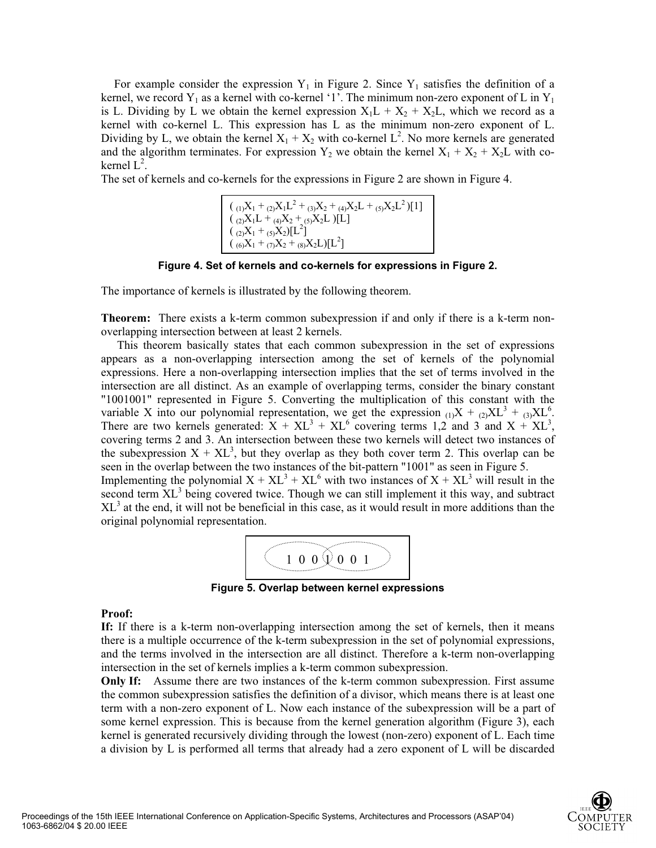For example consider the expression  $Y_1$  in Figure 2. Since  $Y_1$  satisfies the definition of a kernel, we record Y<sub>1</sub> as a kernel with co-kernel '1'. The minimum non-zero exponent of L in Y<sub>1</sub> is L. Dividing by L we obtain the kernel expression  $X_1L + X_2 + X_2L$ , which we record as a kernel with co-kernel L. This expression has L as the minimum non-zero exponent of L. Dividing by L, we obtain the kernel  $X_1 + X_2$  with co-kernel  $L^2$ . No more kernels are generated and the algorithm terminates. For expression  $Y_2$  we obtain the kernel  $X_1 + X_2 + X_2L$  with cokernel  $L^2$ .

The set of kernels and co-kernels for the expressions in Figure 2 are shown in Figure 4.

$$
\begin{array}{l} ( \ _{(1)}X_1+\ _{(2)}X_1L^2+\ _{(3)}X_2+\ _{(4)}X_2L+\ _{(5)}X_2L^2)[1] \\ ( \ _{(2)}X_1L+\ _{(4)}X_2+\ _{(5)}X_2L)[L] \\ ( \ _{(2)}X_1+\ _{(5)}X_2)[L^2] \\ ( \ _{(6)}X_1+\ _{(7)}X_2+\ _{(8)}X_2L)[L^2] \end{array}
$$

**Figure 4. Set of kernels and co-kernels for expressions in Figure 2.** 

The importance of kernels is illustrated by the following theorem.

**Theorem:** There exists a k-term common subexpression if and only if there is a k-term nonoverlapping intersection between at least 2 kernels.

 This theorem basically states that each common subexpression in the set of expressions appears as a non-overlapping intersection among the set of kernels of the polynomial expressions. Here a non-overlapping intersection implies that the set of terms involved in the intersection are all distinct. As an example of overlapping terms, consider the binary constant "1001001" represented in Figure 5. Converting the multiplication of this constant with the variable X into our polynomial representation, we get the expression  $_{(1)}X +_{(2)}XL^3 +_{(3)}XL^6$ . There are two kernels generated:  $X + XL^3 + XL^6$  covering terms 1,2 and 3 and  $X + XL^3$ , covering terms 2 and 3. An intersection between these two kernels will detect two instances of the subexpression  $X + XL^3$ , but they overlap as they both cover term 2. This overlap can be seen in the overlap between the two instances of the bit-pattern "1001" as seen in Figure 5. Implementing the polynomial  $X + XL^3 + XL^6$  with two instances of  $X + XL^3$  will result in the

second term  $\overline{XL}^3$  being covered twice. Though we can still implement it this way, and subtract  $XL<sup>3</sup>$  at the end, it will not be beneficial in this case, as it would result in more additions than the original polynomial representation.



**Figure 5. Overlap between kernel expressions** 

#### **Proof:**

**If:** If there is a k-term non-overlapping intersection among the set of kernels, then it means there is a multiple occurrence of the k-term subexpression in the set of polynomial expressions, and the terms involved in the intersection are all distinct. Therefore a k-term non-overlapping intersection in the set of kernels implies a k-term common subexpression.

**Only If:** Assume there are two instances of the k-term common subexpression. First assume the common subexpression satisfies the definition of a divisor, which means there is at least one term with a non-zero exponent of L. Now each instance of the subexpression will be a part of some kernel expression. This is because from the kernel generation algorithm (Figure 3), each kernel is generated recursively dividing through the lowest (non-zero) exponent of L. Each time a division by L is performed all terms that already had a zero exponent of L will be discarded

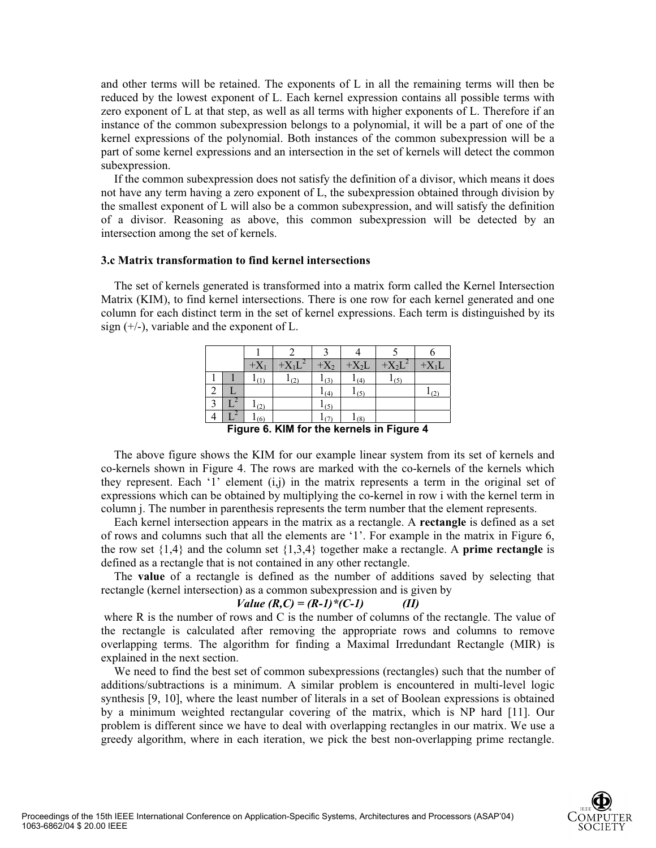and other terms will be retained. The exponents of L in all the remaining terms will then be reduced by the lowest exponent of L. Each kernel expression contains all possible terms with zero exponent of L at that step, as well as all terms with higher exponents of L. Therefore if an instance of the common subexpression belongs to a polynomial, it will be a part of one of the kernel expressions of the polynomial. Both instances of the common subexpression will be a part of some kernel expressions and an intersection in the set of kernels will detect the common subexpression.

 If the common subexpression does not satisfy the definition of a divisor, which means it does not have any term having a zero exponent of L, the subexpression obtained through division by the smallest exponent of L will also be a common subexpression, and will satisfy the definition of a divisor. Reasoning as above, this common subexpression will be detected by an intersection among the set of kernels.

#### **3.c Matrix transformation to find kernel intersections**

The set of kernels generated is transformed into a matrix form called the Kernel Intersection Matrix (KIM), to find kernel intersections. There is one row for each kernel generated and one column for each distinct term in the set of kernel expressions. Each term is distinguished by its sign  $(+/-)$ , variable and the exponent of L.

|                                           |     |     | $+X_2$ | $+X2L$ |     | $+X_1L$ |  |  |
|-------------------------------------------|-----|-----|--------|--------|-----|---------|--|--|
|                                           | (1) | (2) | (3)    | (4)    | (5) |         |  |  |
|                                           |     |     | (4)    | (5)    |     | (2)     |  |  |
|                                           | (2) |     | 1(5)   |        |     |         |  |  |
|                                           | (6) |     |        | (8)    |     |         |  |  |
| Figure 6. KIM for the kernels in Figure 4 |     |     |        |        |     |         |  |  |

The above figure shows the KIM for our example linear system from its set of kernels and co-kernels shown in Figure 4. The rows are marked with the co-kernels of the kernels which they represent. Each '1' element (i,j) in the matrix represents a term in the original set of expressions which can be obtained by multiplying the co-kernel in row i with the kernel term in column j. The number in parenthesis represents the term number that the element represents.

 Each kernel intersection appears in the matrix as a rectangle. A **rectangle** is defined as a set of rows and columns such that all the elements are '1'. For example in the matrix in Figure 6, the row set {1,4} and the column set {1,3,4} together make a rectangle. A **prime rectangle** is defined as a rectangle that is not contained in any other rectangle.

 The **value** of a rectangle is defined as the number of additions saved by selecting that rectangle (kernel intersection) as a common subexpression and is given by

*Value (R,C) = (R-1)\*(C-1) (II)* 

where R is the number of rows and C is the number of columns of the rectangle. The value of the rectangle is calculated after removing the appropriate rows and columns to remove overlapping terms. The algorithm for finding a Maximal Irredundant Rectangle (MIR) is explained in the next section.

 We need to find the best set of common subexpressions (rectangles) such that the number of additions/subtractions is a minimum. A similar problem is encountered in multi-level logic synthesis [9, 10], where the least number of literals in a set of Boolean expressions is obtained by a minimum weighted rectangular covering of the matrix, which is NP hard [11]. Our problem is different since we have to deal with overlapping rectangles in our matrix. We use a greedy algorithm, where in each iteration, we pick the best non-overlapping prime rectangle.

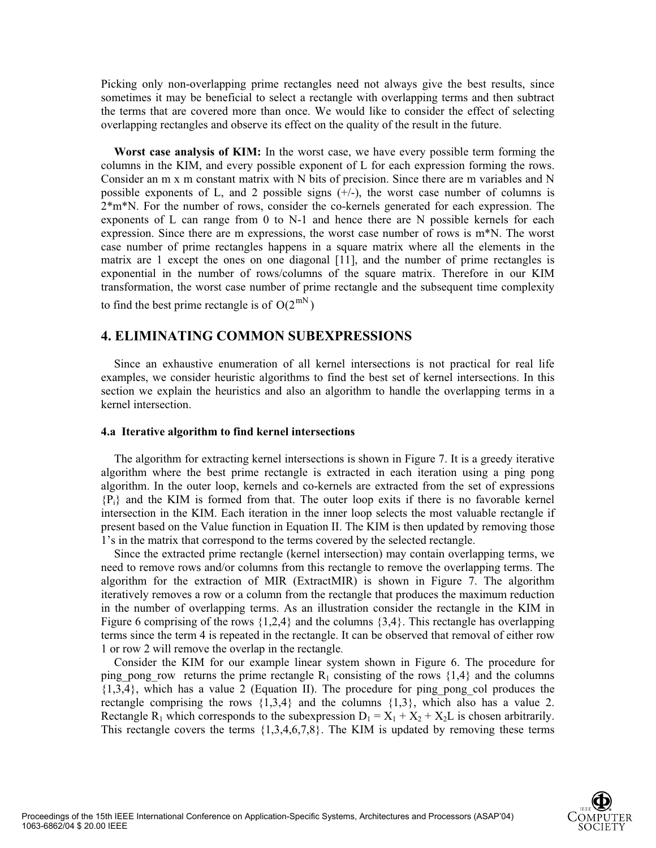Picking only non-overlapping prime rectangles need not always give the best results, since sometimes it may be beneficial to select a rectangle with overlapping terms and then subtract the terms that are covered more than once. We would like to consider the effect of selecting overlapping rectangles and observe its effect on the quality of the result in the future.

 **Worst case analysis of KIM:** In the worst case, we have every possible term forming the columns in the KIM, and every possible exponent of L for each expression forming the rows. Consider an m x m constant matrix with N bits of precision. Since there are m variables and N possible exponents of L, and 2 possible signs  $(+/-)$ , the worst case number of columns is 2\*m\*N. For the number of rows, consider the co-kernels generated for each expression. The exponents of L can range from 0 to N-1 and hence there are N possible kernels for each expression. Since there are m expressions, the worst case number of rows is m\*N. The worst case number of prime rectangles happens in a square matrix where all the elements in the matrix are 1 except the ones on one diagonal [11], and the number of prime rectangles is exponential in the number of rows/columns of the square matrix. Therefore in our KIM transformation, the worst case number of prime rectangle and the subsequent time complexity to find the best prime rectangle is of  $O(2^{mN})$ 

## **4. ELIMINATING COMMON SUBEXPRESSIONS**

Since an exhaustive enumeration of all kernel intersections is not practical for real life examples, we consider heuristic algorithms to find the best set of kernel intersections. In this section we explain the heuristics and also an algorithm to handle the overlapping terms in a kernel intersection.

#### **4.a Iterative algorithm to find kernel intersections**

The algorithm for extracting kernel intersections is shown in Figure 7. It is a greedy iterative algorithm where the best prime rectangle is extracted in each iteration using a ping pong algorithm. In the outer loop, kernels and co-kernels are extracted from the set of expressions  ${P_i}$  and the KIM is formed from that. The outer loop exits if there is no favorable kernel intersection in the KIM. Each iteration in the inner loop selects the most valuable rectangle if present based on the Value function in Equation II. The KIM is then updated by removing those 1's in the matrix that correspond to the terms covered by the selected rectangle.

 Since the extracted prime rectangle (kernel intersection) may contain overlapping terms, we need to remove rows and/or columns from this rectangle to remove the overlapping terms. The algorithm for the extraction of MIR (ExtractMIR) is shown in Figure 7. The algorithm iteratively removes a row or a column from the rectangle that produces the maximum reduction in the number of overlapping terms. As an illustration consider the rectangle in the KIM in Figure 6 comprising of the rows  $\{1,2,4\}$  and the columns  $\{3,4\}$ . This rectangle has overlapping terms since the term 4 is repeated in the rectangle. It can be observed that removal of either row 1 or row 2 will remove the overlap in the rectangle.

Consider the KIM for our example linear system shown in Figure 6. The procedure for ping pong row returns the prime rectangle  $R_1$  consisting of the rows  $\{1,4\}$  and the columns  ${1,3,4}$ , which has a value 2 (Equation II). The procedure for ping pong col produces the rectangle comprising the rows  $\{1,3,4\}$  and the columns  $\{1,3\}$ , which also has a value 2. Rectangle R<sub>1</sub> which corresponds to the subexpression  $D_1 = X_1 + X_2 + X_2L$  is chosen arbitrarily. This rectangle covers the terms  $\{1,3,4,6,7,8\}$ . The KIM is updated by removing these terms

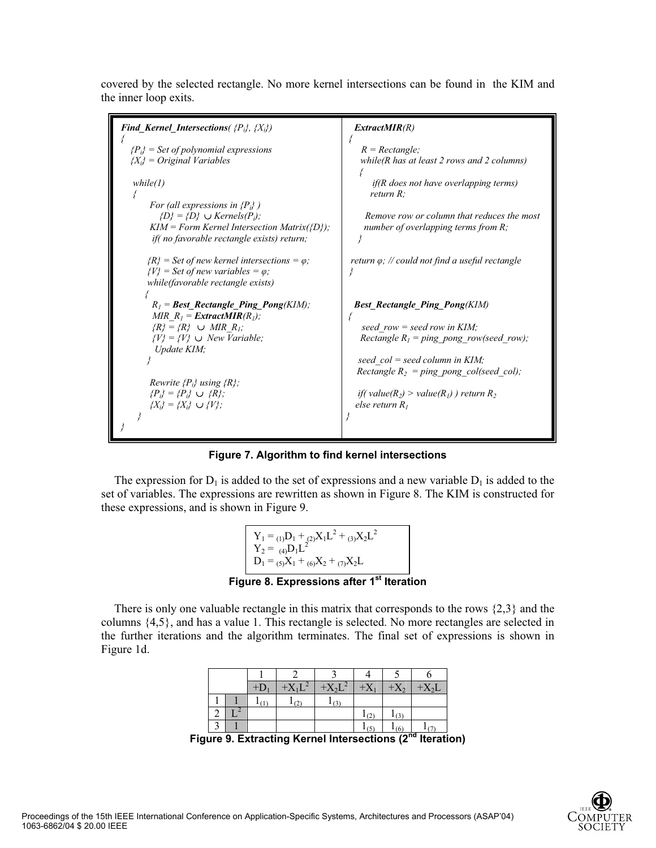covered by the selected rectangle. No more kernel intersections can be found in the KIM and the inner loop exits.

```
Find_Kernel_Intersections( {Pi}, {Xi}) ExtractMIR(R) 
{ { 
  {P_i} = Set of polynomial expressions R = Rectangle;<br>{X_i} = Original Variables while(R has at l
                                                              while(R has at least 2 rows and 2 columns)
 { 
  if(R does not have overlapping terms) if(R does not have overlapping terms)
    { return R; 
       For (all expressions in {P<sub>i</sub>} ) \{D\} = \{D\} \cup Kernels(P<sub>i</sub>);
                                                                {D} = {D}  Kernels(Pi); Remove row or column that reduces the most 
       KIM = Form Kernel Intersection Matrix({D}); number of overlapping terms from R;
        if( no favorable rectangle exists) return; } 
      {R} = Set of new kernel intersections = \varphi; return \varphi; // could not find a useful rectangle
      \{V\} = Set of new variables = \varphi; \} while(favorable rectangle exists) 
 { 
       R_1 = Best Rectangle Ping Pong(KIM); Best Rectangle Ping Pong(KIM)MIR<sub>_R<sub>1</sub> = <i>ExtractMIR(R<sub>1</sub>); \{R\} = \{R\} \cup MIR R<sub>1</sub>;</sub>
       {R} = {R} \cup MIR_R;<br>
{V} = {V} \cup New \overline{Variable};<br>
{R} = {N} \cup \text{New } \overline{Variable};<br>
Rectangle R_1 = \text{ping } \text{pong} \text{ row}Rectangle R_1 = p ng pong_row(seed_row);
         Update KIM; 
                                                              } seed_col = seed column in KIM;
                                                             Rectangle R_2 = ping_pong_col(seed_col);
       Rewrite {P<sub>i</sub>} using {R}; \{P_i\} = \{P_i\} \cup \{R\};if( value(R_2) > value(R_1) ) return R_2 else return R_1{X_i} = {X_i} \cup {V}; } } 
}
```
### **Figure 7. Algorithm to find kernel intersections**

The expression for  $D_1$  is added to the set of expressions and a new variable  $D_1$  is added to the set of variables. The expressions are rewritten as shown in Figure 8. The KIM is constructed for these expressions, and is shown in Figure 9.

```
Y_1 =_{(1)}D_1 +_{(2)}X_1L^2 +_{(3)}X_2L^2Y_2 = (4)D_1L^2D_1 = {}_{(5)}X_1 + {}_{(6)}X_2 + {}_{(7)}X_2L
```
**Figure 8. Expressions after 1st Iteration** 

 There is only one valuable rectangle in this matrix that corresponds to the rows {2,3} and the columns {4,5}, and has a value 1. This rectangle is selected. No more rectangles are selected in the further iterations and the algorithm terminates. The final set of expressions is shown in Figure 1d.

|  |  | $+D_1$ | $+X_1L^2$ | $+X_2L^2$ | $+X_1$ | $+X_2$ | $+X_2L$    |
|--|--|--------|-----------|-----------|--------|--------|------------|
|  |  |        | 1(2)      | (3)       |        |        |            |
|  |  |        |           |           | (2)    | (3)    |            |
|  |  |        |           |           | (5)    | (6)    | $\sqrt{7}$ |

**Figure 9. Extracting Kernel Intersections (2nd Iteration)** 

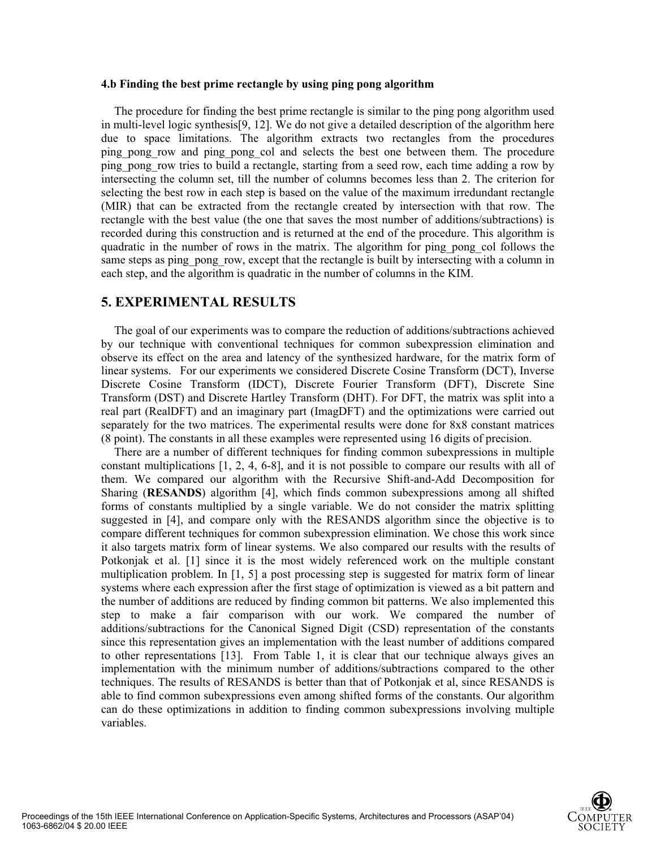#### **4.b Finding the best prime rectangle by using ping pong algorithm**

The procedure for finding the best prime rectangle is similar to the ping pong algorithm used in multi-level logic synthesis[9, 12]. We do not give a detailed description of the algorithm here due to space limitations. The algorithm extracts two rectangles from the procedures ping pong row and ping pong col and selects the best one between them. The procedure ping pong row tries to build a rectangle, starting from a seed row, each time adding a row by intersecting the column set, till the number of columns becomes less than 2. The criterion for selecting the best row in each step is based on the value of the maximum irredundant rectangle (MIR) that can be extracted from the rectangle created by intersection with that row. The rectangle with the best value (the one that saves the most number of additions/subtractions) is recorded during this construction and is returned at the end of the procedure. This algorithm is quadratic in the number of rows in the matrix. The algorithm for ping\_pong\_col follows the same steps as ping pong row, except that the rectangle is built by intersecting with a column in each step, and the algorithm is quadratic in the number of columns in the KIM.

## **5. EXPERIMENTAL RESULTS**

 The goal of our experiments was to compare the reduction of additions/subtractions achieved by our technique with conventional techniques for common subexpression elimination and observe its effect on the area and latency of the synthesized hardware, for the matrix form of linear systems. For our experiments we considered Discrete Cosine Transform (DCT), Inverse Discrete Cosine Transform (IDCT), Discrete Fourier Transform (DFT), Discrete Sine Transform (DST) and Discrete Hartley Transform (DHT). For DFT, the matrix was split into a real part (RealDFT) and an imaginary part (ImagDFT) and the optimizations were carried out separately for the two matrices. The experimental results were done for 8x8 constant matrices (8 point). The constants in all these examples were represented using 16 digits of precision.

 There are a number of different techniques for finding common subexpressions in multiple constant multiplications [1, 2, 4, 6-8], and it is not possible to compare our results with all of them. We compared our algorithm with the Recursive Shift-and-Add Decomposition for Sharing (**RESANDS**) algorithm [4], which finds common subexpressions among all shifted forms of constants multiplied by a single variable. We do not consider the matrix splitting suggested in [4], and compare only with the RESANDS algorithm since the objective is to compare different techniques for common subexpression elimination. We chose this work since it also targets matrix form of linear systems. We also compared our results with the results of Potkonjak et al. [1] since it is the most widely referenced work on the multiple constant multiplication problem. In [1, 5] a post processing step is suggested for matrix form of linear systems where each expression after the first stage of optimization is viewed as a bit pattern and the number of additions are reduced by finding common bit patterns. We also implemented this step to make a fair comparison with our work. We compared the number of additions/subtractions for the Canonical Signed Digit (CSD) representation of the constants since this representation gives an implementation with the least number of additions compared to other representations [13]. From Table 1, it is clear that our technique always gives an implementation with the minimum number of additions/subtractions compared to the other techniques. The results of RESANDS is better than that of Potkonjak et al, since RESANDS is able to find common subexpressions even among shifted forms of the constants. Our algorithm can do these optimizations in addition to finding common subexpressions involving multiple variables.

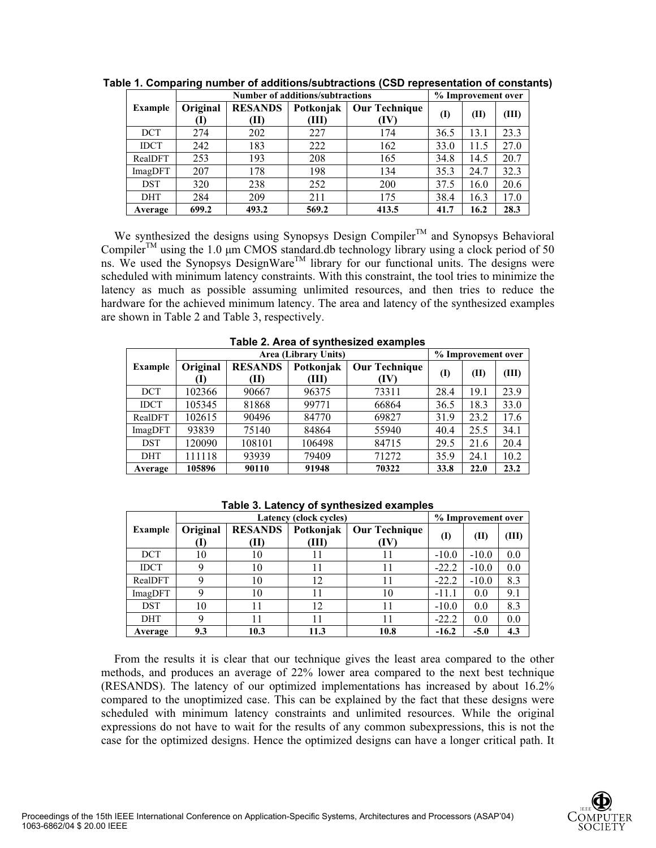|             | <b>Number of additions/subtractions</b> |                        |                    |                              |                | % Improvement over |       |  |
|-------------|-----------------------------------------|------------------------|--------------------|------------------------------|----------------|--------------------|-------|--|
| Example     | Original<br>(L)                         | <b>RESANDS</b><br>(II) | Potkonjak<br>(III) | <b>Our Technique</b><br>(IV) | $\textbf{(I)}$ | (II)               | (III) |  |
| <b>DCT</b>  | 274                                     | 202                    | 227                | 174                          | 36.5           | 13.1               | 23.3  |  |
| <b>IDCT</b> | 242                                     | 183                    | 222                | 162                          | 33.0           | 11.5               | 27.0  |  |
| RealDFT     | 253                                     | 193                    | 208                | 165                          | 34.8           | 14.5               | 20.7  |  |
| ImagDFT     | 207                                     | 178                    | 198                | 134                          | 35.3           | 24.7               | 32.3  |  |
| <b>DST</b>  | 320                                     | 238                    | 252                | 200                          | 37.5           | 16.0               | 20.6  |  |
| <b>DHT</b>  | 284                                     | 209                    | 211                | 175                          | 38.4           | 16.3               | 17.0  |  |
| Average     | 699.2                                   | 493.2                  | 569.2              | 413.5                        | 41.7           | 16.2               | 28.3  |  |

**Table 1. Comparing number of additions/subtractions (CSD representation of constants)** 

We synthesized the designs using Synopsys Design Compiler<sup>TM</sup> and Synopsys Behavioral Compiler<sup>TM</sup> using the 1.0 µm CMOS standard.db technology library using a clock period of 50 ns. We used the Synopsys DesignWare<sup>TM</sup> library for our functional units. The designs were scheduled with minimum latency constraints. With this constraint, the tool tries to minimize the latency as much as possible assuming unlimited resources, and then tries to reduce the hardware for the achieved minimum latency. The area and latency of the synthesized examples are shown in Table 2 and Table 3, respectively.

| Table 2. Area of Synthesized examples |                      |                        |                    |                              |              |                    |       |  |
|---------------------------------------|----------------------|------------------------|--------------------|------------------------------|--------------|--------------------|-------|--|
|                                       | Area (Library Units) |                        |                    |                              |              | % Improvement over |       |  |
| <b>Example</b>                        | Original<br>[I]      | <b>RESANDS</b><br>(II) | Potkonjak<br>(III) | <b>Our Technique</b><br>(IV) | $\mathbf{I}$ | (II)               | (III) |  |
| <b>DCT</b>                            | 102366               | 90667                  | 96375              | 73311                        | 28.4         | 19.1               | 23.9  |  |
| <b>IDCT</b>                           | 105345               | 81868                  | 99771              | 66864                        | 36.5         | 18.3               | 33.0  |  |
| RealDFT                               | 102615               | 90496                  | 84770              | 69827                        | 31.9         | 23.2               | 17.6  |  |
| ImagDFT                               | 93839                | 75140                  | 84864              | 55940                        | 40.4         | 25.5               | 34.1  |  |
| <b>DST</b>                            | 120090               | 108101                 | 106498             | 84715                        | 29.5         | 21.6               | 20.4  |  |
| <b>DHT</b>                            | 111118               | 93939                  | 79409              | 71272                        | 35.9         | 24.1               | 10.2  |  |
| Average                               | 105896               | 90110                  | 91948              | 70322                        | 33.8         | 22.0               | 23.2  |  |

**Table 2. Area of synthesized examples** 

|                |                | Latency (clock cycles) | % Improvement over |                              |            |         |       |
|----------------|----------------|------------------------|--------------------|------------------------------|------------|---------|-------|
| <b>Example</b> | Original<br>O) | <b>RESANDS</b><br>(II) | Potkonjak<br>(III) | <b>Our Technique</b><br>(IV) | $\bf{(I)}$ | (II)    | (III) |
| <b>DCT</b>     | 10             | 10                     |                    | 11                           | $-10.0$    | $-10.0$ | 0.0   |
| <b>IDCT</b>    |                | 10                     | 11                 | 11                           | $-22.2$    | $-10.0$ | 0.0   |
| RealDFT        |                | 10                     | 12                 | 11                           | $-22.2$    | $-10.0$ | 8.3   |
| ImagDFT        |                | 10                     |                    | 10                           | $-11.1$    | 0.0     | 9.1   |
| <b>DST</b>     | 10             | 11                     | 12                 | 11                           | $-10.0$    | 0.0     | 8.3   |
| DHT            |                | 11                     |                    | 11                           | $-22.2$    | 0.0     | 0.0   |
| Average        | 9.3            | 10.3                   | 11.3               | 10.8                         | $-16.2$    | $-5.0$  | 4.3   |

**Table 3. Latency of synthesized examples** 

From the results it is clear that our technique gives the least area compared to the other methods, and produces an average of 22% lower area compared to the next best technique (RESANDS). The latency of our optimized implementations has increased by about 16.2% compared to the unoptimized case. This can be explained by the fact that these designs were scheduled with minimum latency constraints and unlimited resources. While the original expressions do not have to wait for the results of any common subexpressions, this is not the case for the optimized designs. Hence the optimized designs can have a longer critical path. It